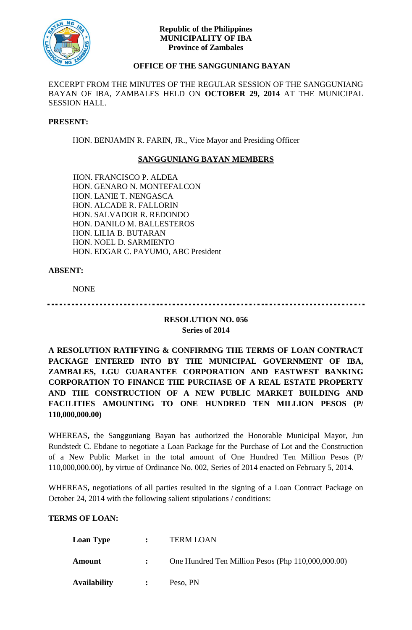

#### **Republic of the Philippines MUNICIPALITY OF IBA Province of Zambales**

# **OFFICE OF THE SANGGUNIANG BAYAN**

EXCERPT FROM THE MINUTES OF THE REGULAR SESSION OF THE SANGGUNIANG BAYAN OF IBA, ZAMBALES HELD ON **OCTOBER 29, 2014** AT THE MUNICIPAL SESSION HALL.

#### **PRESENT:**

HON. BENJAMIN R. FARIN, JR., Vice Mayor and Presiding Officer

## **SANGGUNIANG BAYAN MEMBERS**

HON. FRANCISCO P. ALDEA HON. GENARO N. MONTEFALCON HON. LANIE T. NENGASCA HON. ALCADE R. FALLORIN HON. SALVADOR R. REDONDO HON. DANILO M. BALLESTEROS HON. LILIA B. BUTARAN HON. NOEL D. SARMIENTO HON. EDGAR C. PAYUMO, ABC President

### **ABSENT:**

NONE

## **RESOLUTION NO. 056 Series of 2014**

**A RESOLUTION RATIFYING & CONFIRMNG THE TERMS OF LOAN CONTRACT PACKAGE ENTERED INTO BY THE MUNICIPAL GOVERNMENT OF IBA, ZAMBALES, LGU GUARANTEE CORPORATION AND EASTWEST BANKING CORPORATION TO FINANCE THE PURCHASE OF A REAL ESTATE PROPERTY AND THE CONSTRUCTION OF A NEW PUBLIC MARKET BUILDING AND FACILITIES AMOUNTING TO ONE HUNDRED TEN MILLION PESOS (P/ 110,000,000.00)**

WHEREAS**,** the Sangguniang Bayan has authorized the Honorable Municipal Mayor, Jun Rundstedt C. Ebdane to negotiate a Loan Package for the Purchase of Lot and the Construction of a New Public Market in the total amount of One Hundred Ten Million Pesos (P/ 110,000,000.00), by virtue of Ordinance No. 002, Series of 2014 enacted on February 5, 2014.

WHEREAS**,** negotiations of all parties resulted in the signing of a Loan Contract Package on October 24, 2014 with the following salient stipulations / conditions:

### **TERMS OF LOAN:**

| <b>Loan Type</b>    | $\mathbf{r}$   | <b>TERM LOAN</b>                                   |
|---------------------|----------------|----------------------------------------------------|
| Amount              |                | One Hundred Ten Million Pesos (Php 110,000,000.00) |
| <b>Availability</b> | $\ddot{\cdot}$ | Peso, PN                                           |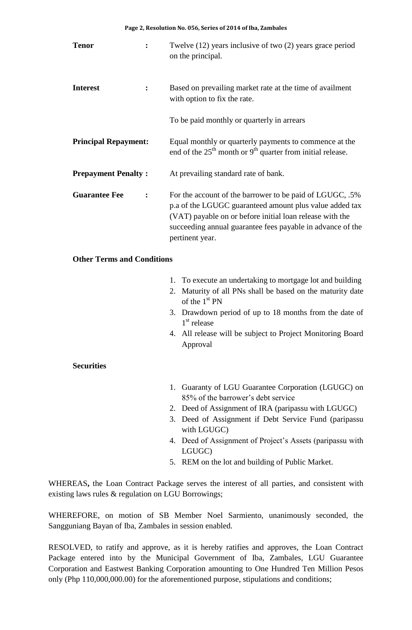| <b>Tenor</b>                | $\ddot{\cdot}$ | Twelve (12) years inclusive of two (2) years grace period<br>on the principal.                                                                                                                                                                                   |
|-----------------------------|----------------|------------------------------------------------------------------------------------------------------------------------------------------------------------------------------------------------------------------------------------------------------------------|
| <b>Interest</b>             | $\ddot{\cdot}$ | Based on prevailing market rate at the time of availment<br>with option to fix the rate.                                                                                                                                                                         |
|                             |                | To be paid monthly or quarterly in arrears                                                                                                                                                                                                                       |
| <b>Principal Repayment:</b> |                | Equal monthly or quarterly payments to commence at the<br>end of the $25th$ month or 9 <sup>th</sup> quarter from initial release.                                                                                                                               |
| <b>Prepayment Penalty:</b>  |                | At prevailing standard rate of bank.                                                                                                                                                                                                                             |
| <b>Guarantee Fee</b>        | $\ddot{\cdot}$ | For the account of the barrower to be paid of LGUGC, .5%<br>p.a of the LGUGC guaranteed amount plus value added tax<br>(VAT) payable on or before initial loan release with the<br>succeeding annual guarantee fees payable in advance of the<br>pertinent year. |

### **Other Terms and Conditions**

- 1. To execute an undertaking to mortgage lot and building
- 2. Maturity of all PNs shall be based on the maturity date of the 1<sup>st</sup> PN
- 3. Drawdown period of up to 18 months from the date of 1 st release
- 4. All release will be subject to Project Monitoring Board Approval

### **Securities**

- 1. Guaranty of LGU Guarantee Corporation (LGUGC) on 85% of the barrower's debt service
- 2. Deed of Assignment of IRA (paripassu with LGUGC)
- 3. Deed of Assignment if Debt Service Fund (paripassu with LGUGC)
- 4. Deed of Assignment of Project's Assets (paripassu with LGUGC)
- 5. REM on the lot and building of Public Market.

WHEREAS**,** the Loan Contract Package serves the interest of all parties, and consistent with existing laws rules & regulation on LGU Borrowings;

WHEREFORE, on motion of SB Member Noel Sarmiento, unanimously seconded, the Sangguniang Bayan of Iba, Zambales in session enabled.

RESOLVED, to ratify and approve, as it is hereby ratifies and approves, the Loan Contract Package entered into by the Municipal Government of Iba, Zambales, LGU Guarantee Corporation and Eastwest Banking Corporation amounting to One Hundred Ten Million Pesos only (Php 110,000,000.00) for the aforementioned purpose, stipulations and conditions;